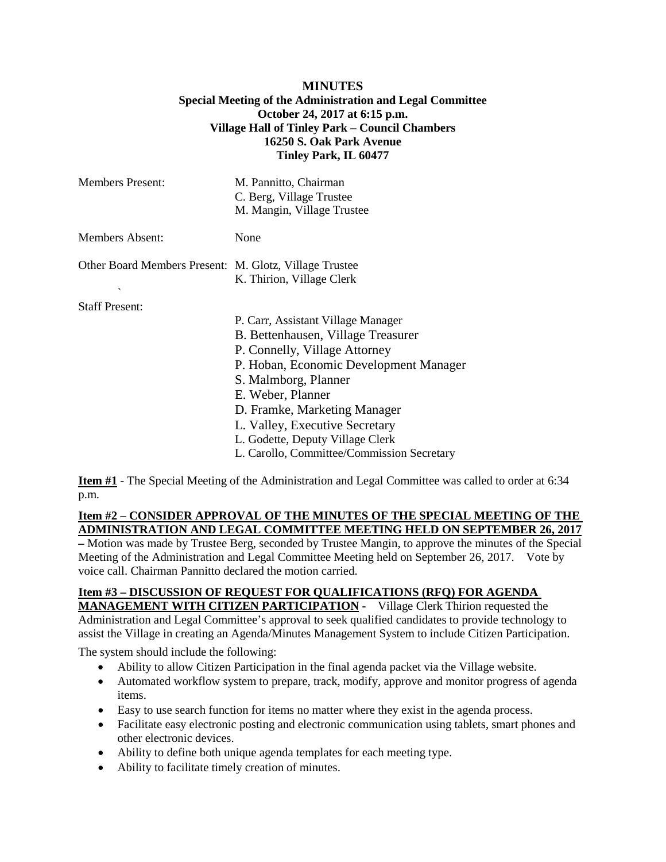## **MINUTES Special Meeting of the Administration and Legal Committee October 24, 2017 at 6:15 p.m. Village Hall of Tinley Park – Council Chambers 16250 S. Oak Park Avenue Tinley Park, IL 60477**

| Members Present:                                                       | M. Pannitto, Chairman<br>C. Berg, Village Trustee<br>M. Mangin, Village Trustee                                                                                                                                                                                                                                                                      |
|------------------------------------------------------------------------|------------------------------------------------------------------------------------------------------------------------------------------------------------------------------------------------------------------------------------------------------------------------------------------------------------------------------------------------------|
| <b>Members Absent:</b>                                                 | None                                                                                                                                                                                                                                                                                                                                                 |
| Other Board Members Present: M. Glotz, Village Trustee<br>$\checkmark$ | K. Thirion, Village Clerk                                                                                                                                                                                                                                                                                                                            |
| <b>Staff Present:</b>                                                  | P. Carr, Assistant Village Manager<br>B. Bettenhausen, Village Treasurer<br>P. Connelly, Village Attorney<br>P. Hoban, Economic Development Manager<br>S. Malmborg, Planner<br>E. Weber, Planner<br>D. Framke, Marketing Manager<br>L. Valley, Executive Secretary<br>L. Godette, Deputy Village Clerk<br>L. Carollo, Committee/Commission Secretary |

**Item #1** - The Special Meeting of the Administration and Legal Committee was called to order at 6:34 p.m.

## **Item #2 – CONSIDER APPROVAL OF THE MINUTES OF THE SPECIAL MEETING OF THE ADMINISTRATION AND LEGAL COMMITTEE MEETING HELD ON SEPTEMBER 26, 2017**

**–** Motion was made by Trustee Berg, seconded by Trustee Mangin, to approve the minutes of the Special Meeting of the Administration and Legal Committee Meeting held on September 26, 2017. Vote by voice call. Chairman Pannitto declared the motion carried.

#### **Item #3 – DISCUSSION OF REQUEST FOR QUALIFICATIONS (RFQ) FOR AGENDA MANAGEMENT WITH CITIZEN PARTICIPATION -** Village Clerk Thirion requested the

Administration and Legal Committee's approval to seek qualified candidates to provide technology to assist the Village in creating an Agenda/Minutes Management System to include Citizen Participation.

The system should include the following:

- Ability to allow Citizen Participation in the final agenda packet via the Village website.
- Automated workflow system to prepare, track, modify, approve and monitor progress of agenda items.
- Easy to use search function for items no matter where they exist in the agenda process.
- Facilitate easy electronic posting and electronic communication using tablets, smart phones and other electronic devices.
- Ability to define both unique agenda templates for each meeting type.
- Ability to facilitate timely creation of minutes.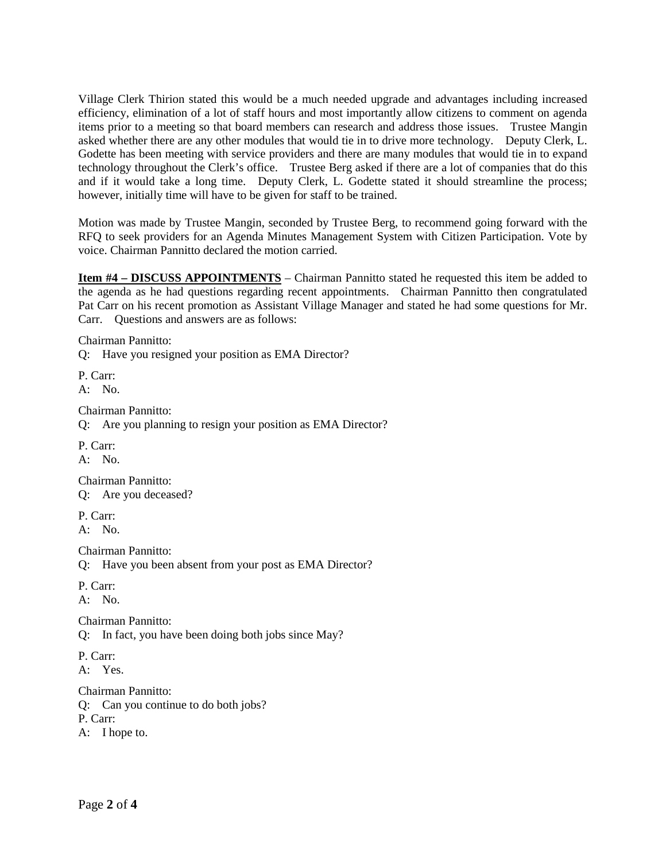Village Clerk Thirion stated this would be a much needed upgrade and advantages including increased efficiency, elimination of a lot of staff hours and most importantly allow citizens to comment on agenda items prior to a meeting so that board members can research and address those issues. Trustee Mangin asked whether there are any other modules that would tie in to drive more technology. Deputy Clerk, L. Godette has been meeting with service providers and there are many modules that would tie in to expand technology throughout the Clerk's office. Trustee Berg asked if there are a lot of companies that do this and if it would take a long time. Deputy Clerk, L. Godette stated it should streamline the process; however, initially time will have to be given for staff to be trained.

Motion was made by Trustee Mangin, seconded by Trustee Berg, to recommend going forward with the RFQ to seek providers for an Agenda Minutes Management System with Citizen Participation. Vote by voice. Chairman Pannitto declared the motion carried.

**Item #4 – DISCUSS APPOINTMENTS** – Chairman Pannitto stated he requested this item be added to the agenda as he had questions regarding recent appointments. Chairman Pannitto then congratulated Pat Carr on his recent promotion as Assistant Village Manager and stated he had some questions for Mr. Carr. Ouestions and answers are as follows:

Chairman Pannitto:

Q: Have you resigned your position as EMA Director?

P. Carr: A: No.

Chairman Pannitto:

Q: Are you planning to resign your position as EMA Director?

P. Carr: A: No.

Chairman Pannitto: Q: Are you deceased?

P. Carr:

A: No.

Chairman Pannitto:

Q: Have you been absent from your post as EMA Director?

P. Carr:

A: No.

Chairman Pannitto:

Q: In fact, you have been doing both jobs since May?

P. Carr:

A: Yes.

Chairman Pannitto:

Q: Can you continue to do both jobs?

P. Carr:

A: I hope to.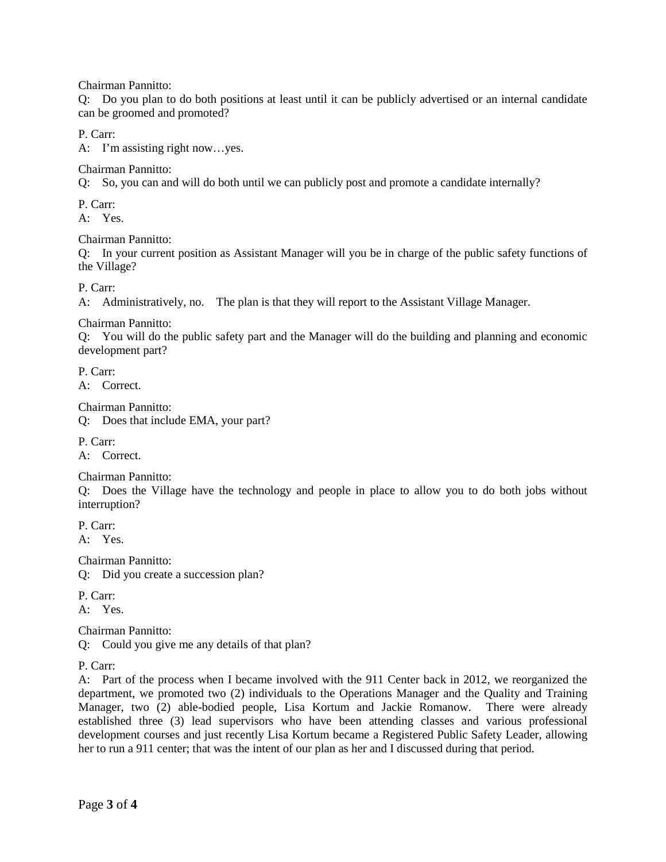Chairman Pannitto:

Q: Do you plan to do both positions at least until it can be publicly advertised or an internal candidate can be groomed and promoted?

P. Carr:

A: I'm assisting right now…yes.

Chairman Pannitto:

Q: So, you can and will do both until we can publicly post and promote a candidate internally?

P. Carr:

A: Yes.

Chairman Pannitto:

Q: In your current position as Assistant Manager will you be in charge of the public safety functions of the Village?

P. Carr:

A: Administratively, no. The plan is that they will report to the Assistant Village Manager.

Chairman Pannitto:

Q: You will do the public safety part and the Manager will do the building and planning and economic development part?

P. Carr:

A: Correct.

Chairman Pannitto:

Q: Does that include EMA, your part?

P. Carr:

A: Correct.

Chairman Pannitto:

Q: Does the Village have the technology and people in place to allow you to do both jobs without interruption?

P. Carr: A: Yes.

Chairman Pannitto:

Q: Did you create a succession plan?

P. Carr:

A: Yes.

Chairman Pannitto:

Q: Could you give me any details of that plan?

P. Carr:

A: Part of the process when I became involved with the 911 Center back in 2012, we reorganized the department, we promoted two (2) individuals to the Operations Manager and the Quality and Training Manager, two (2) able-bodied people, Lisa Kortum and Jackie Romanow. There were already established three (3) lead supervisors who have been attending classes and various professional development courses and just recently Lisa Kortum became a Registered Public Safety Leader, allowing her to run a 911 center; that was the intent of our plan as her and I discussed during that period.